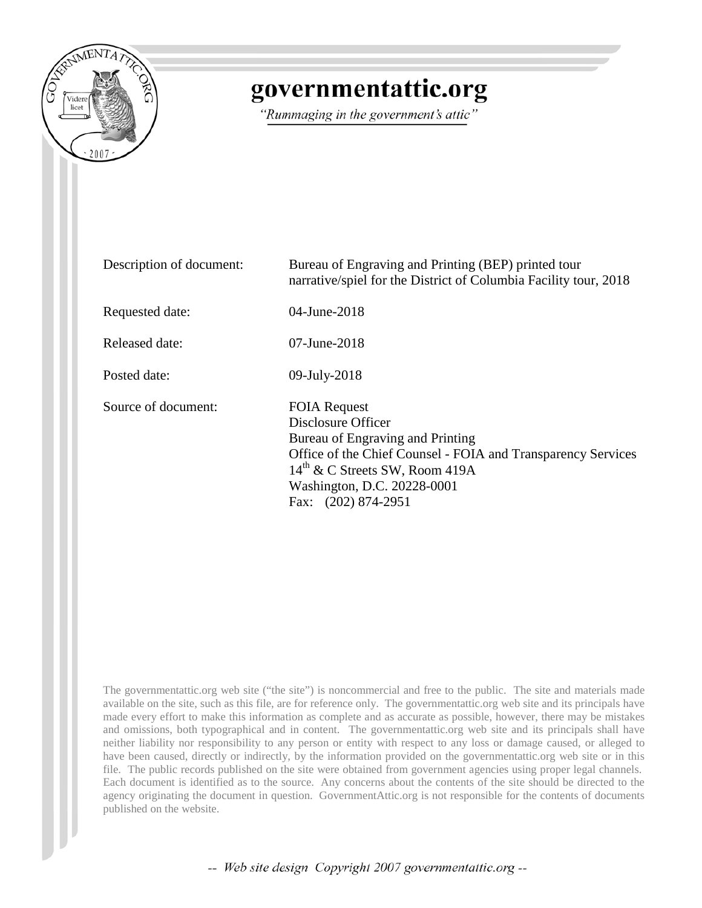

# governmentattic.org

"Rummaging in the government's attic"

| Description of document: | Bureau of Engraving and Printing (BEP) printed tour<br>narrative/spiel for the District of Columbia Facility tour, 2018                                                                                                                           |
|--------------------------|---------------------------------------------------------------------------------------------------------------------------------------------------------------------------------------------------------------------------------------------------|
| Requested date:          | 04-June-2018                                                                                                                                                                                                                                      |
| Released date:           | $07$ -June-2018                                                                                                                                                                                                                                   |
| Posted date:             | 09-July-2018                                                                                                                                                                                                                                      |
| Source of document:      | <b>FOIA Request</b><br>Disclosure Officer<br>Bureau of Engraving and Printing<br>Office of the Chief Counsel - FOIA and Transparency Services<br>$14^{\text{th}}$ & C Streets SW, Room 419A<br>Washington, D.C. 20228-0001<br>Fax: (202) 874-2951 |

The governmentattic.org web site ("the site") is noncommercial and free to the public. The site and materials made available on the site, such as this file, are for reference only. The governmentattic.org web site and its principals have made every effort to make this information as complete and as accurate as possible, however, there may be mistakes and omissions, both typographical and in content. The governmentattic.org web site and its principals shall have neither liability nor responsibility to any person or entity with respect to any loss or damage caused, or alleged to have been caused, directly or indirectly, by the information provided on the governmentattic.org web site or in this file. The public records published on the site were obtained from government agencies using proper legal channels. Each document is identified as to the source. Any concerns about the contents of the site should be directed to the agency originating the document in question. GovernmentAttic.org is not responsible for the contents of documents published on the website.

-- Web site design Copyright 2007 governmentattic.org --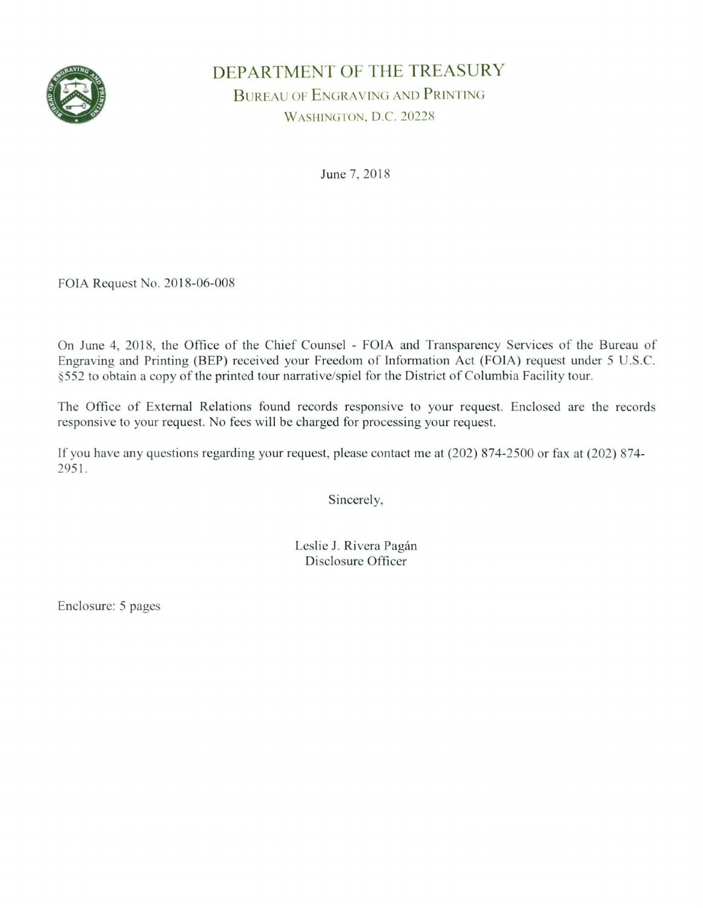

## DEPARTMENT OF THE TREASURY BUREAU OF ENGRAVING AND PRINTING WASHINGTON, D.C. 20228

June 7, 2018

FOIA Request No. 2018-06-008

On June 4, 2018, the Office of the Chief Counsel - FOIA and Transparency Services of the Bureau of Engraving and Printing (BEP) received your Freedom of Information Act (FOIA) request under 5 U.S.C. §552 to obtain a copy of the printed tour narrative/spiel for the District of Columbia Facility tour.

The Office of External Relations found records responsive to your request. Enclosed are the records responsive to your request. No fees will be charged for processing your request.

If you have any questions regarding your request, please contact me at (202) 874-2500 or fax at (202) 874- 2951.

Sincerely,

Leslie J. Rivera Pagán Disclosure Officer

Enclosure: 5 pages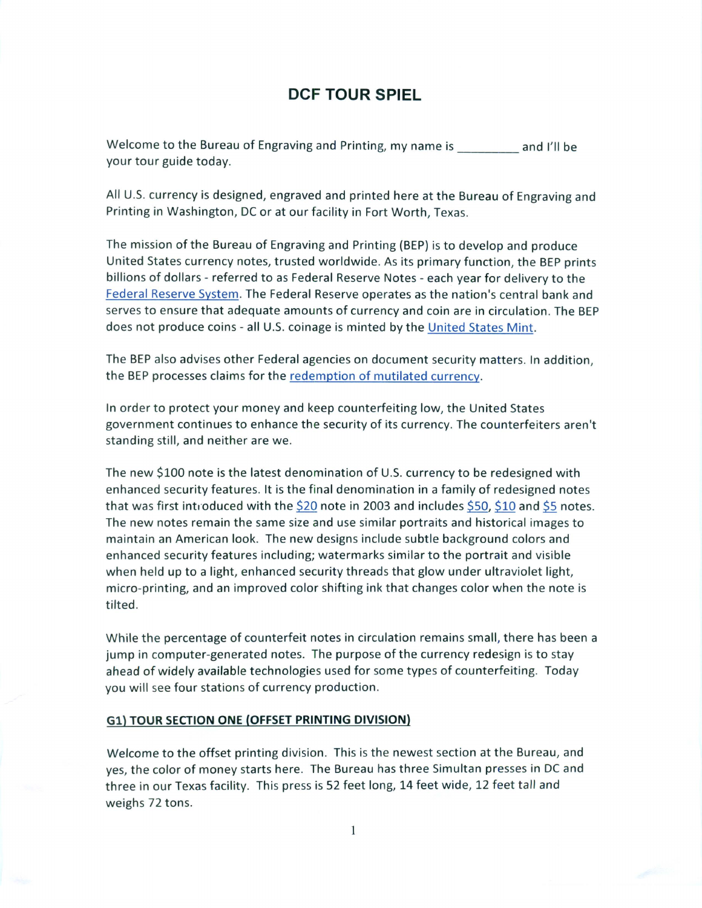### **DCF TOUR SPIEL**

Welcome to the Bureau of Engraving and Printing, my name is \_\_\_\_\_\_\_\_\_ and I'll be your tour guide today.

All U.S. currency is designed, engraved and printed here at the Bureau of Engraving and Printing in Washington, DC or at our facility in Fort Worth, Texas.

The mission of the Bureau of Engraving and Printing (BEP) is to develop and produce United States currency notes, trusted worldwide. As its primary function, the BEP prints billions of dollars - referred to as Federal Reserve Notes - each year for delivery to the Federal Reserve System. The Federal Reserve operates as the nation's central bank and serves to ensure that adequate amounts of currency and coin are in circulation. The BEP does not produce coins - all U.S. coinage is minted by the United States Mint.

The BEP also advises other Federal agencies on document security matters. In addition, the BEP processes claims for the redemption of mutilated currency.

In order to protect your money and keep counterfeiting low, the United States government continues to enhance the security of its currency. The counterfeiters aren't standing still, and neither are we.

The new \$100 note is the latest denomination of U.S. currency to be redesigned with enhanced security features. It is the final denomination in a family of redesigned notes that was first introduced with the \$20 note in 2003 and includes \$50, \$10 and \$5 notes. The new notes remain the same size and use similar portraits and historical images to maintain an American look. The new designs include subtle background colors and enhanced security features including; watermarks similar to the portrait and visible when held up to a light, enhanced security threads that glow under ultraviolet light, micro-printing, and an improved color shifting ink that changes color when the note is tilted.

While the percentage of counterfeit notes in circulation remains small, there has been a jump in computer-generated notes. The purpose of the currency redesign is to stay ahead of widely available technologies used for some types of counterfeiting. Today you will see four stations of currency production.

#### **Gl) TOUR SECTION ONE (OFFSET PRINTING DIVISION)**

Welcome to the offset printing division. This is the newest section at the Bureau, and yes, the color of money starts here. The Bureau has three Simultan presses in DC and three in our Texas facility. This press is 52 feet long, 14 feet wide, 12 feet tall and weighs 72 tons.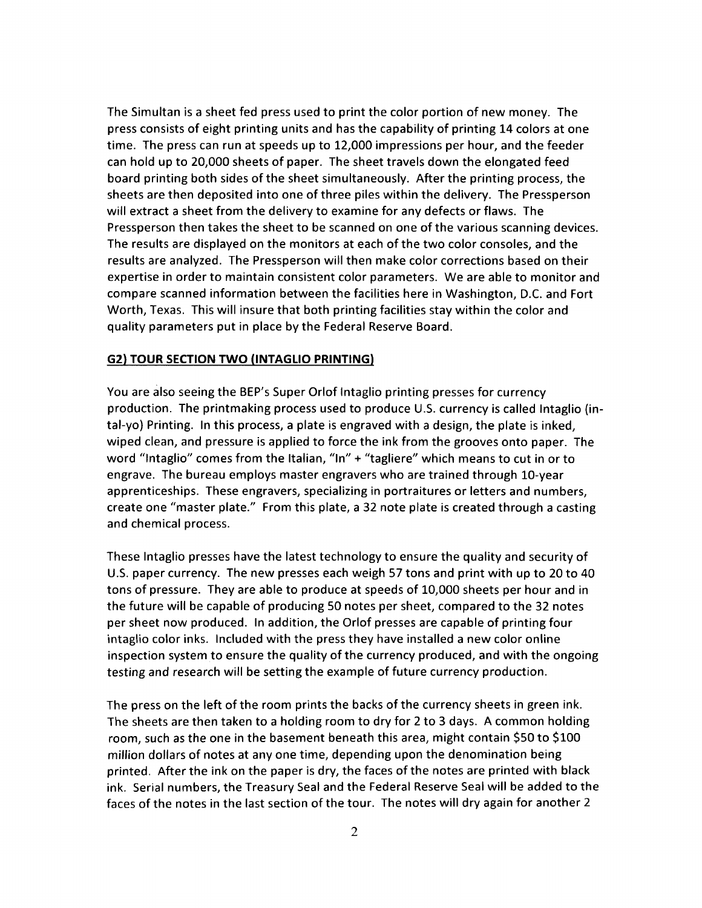The Simultan is a sheet fed press used to print the color portion of new money. The press consists of eight printing units and has the capability of printing 14 colors at one time. The press can run at speeds up to 12,000 impressions per hour, and the feeder can hold up to 20,000 sheets of paper. The sheet travels down the elongated feed board printing both sides of the sheet simultaneously. After the printing process, the sheets are then deposited into one of three piles within the delivery. The Pressperson will extract a sheet from the delivery to examine for any defects or flaws. The Pressperson then takes the sheet to be scanned on one of the various scanning devices. The results are displayed on the monitors at each of the two color consoles, and the results are analyzed. The Pressperson will then make color corrections based on their expertise in order to maintain consistent color parameters. We are able to monitor and compare scanned information between the facilities here in Washington, D.C. and Fort Worth, Texas. This will insure that both printing facilities stay within the color and quality parameters put in place by the Federal Reserve Board.

#### **G2) TOUR SECTION TWO (INTAGLIO PRINTING)**

You are also seeing the BEP's Super Orlof Intaglio printing presses for currency production. The printmaking process used to produce U.S. currency is called Intaglio (intal-yo) Printing. In this process, a plate is engraved with a design, the plate is inked, wiped clean, and pressure is applied to force the ink from the grooves onto paper. The word "Intaglio" comes from the Italian, "In" + "tagliere" which means to cut in or to engrave. The bureau employs master engravers who are trained through 10-year apprenticeships. These engravers, specializing in portraitures or letters and numbers, create one "master plate." From this plate, a 32 note plate is created through a casting and chemical process.

These Intaglio presses have the latest technology to ensure the quality and security of U.S. paper currency. The new presses each weigh 57 tons and print with up to 20 to 40 tons of pressure. They are able to produce at speeds of 10,000 sheets per hour and in the future will be capable of producing 50 notes per sheet, compared to the 32 notes per sheet now produced. In addition, the Orlof presses are capable of printing four intaglio color inks. Included with the press they have installed a new color online inspection system to ensure the quality of the currency produced, and with the ongoing testing and research will be setting the example of future currency production.

The press on the left of the room prints the backs of the currency sheets in green ink. The sheets are then taken to a holding room to dry for 2 to 3 days. A common holding room, such as the one in the basement beneath this area, might contain \$50 to \$100 million dollars of notes at any one time, depending upon the denomination being printed. After the ink on the paper is dry, the faces of the notes are printed with black ink. Serial numbers, the Treasury Seal and the Federal Reserve Seal will be added to the faces of the notes in the last section of the tour. The notes will dry again for another 2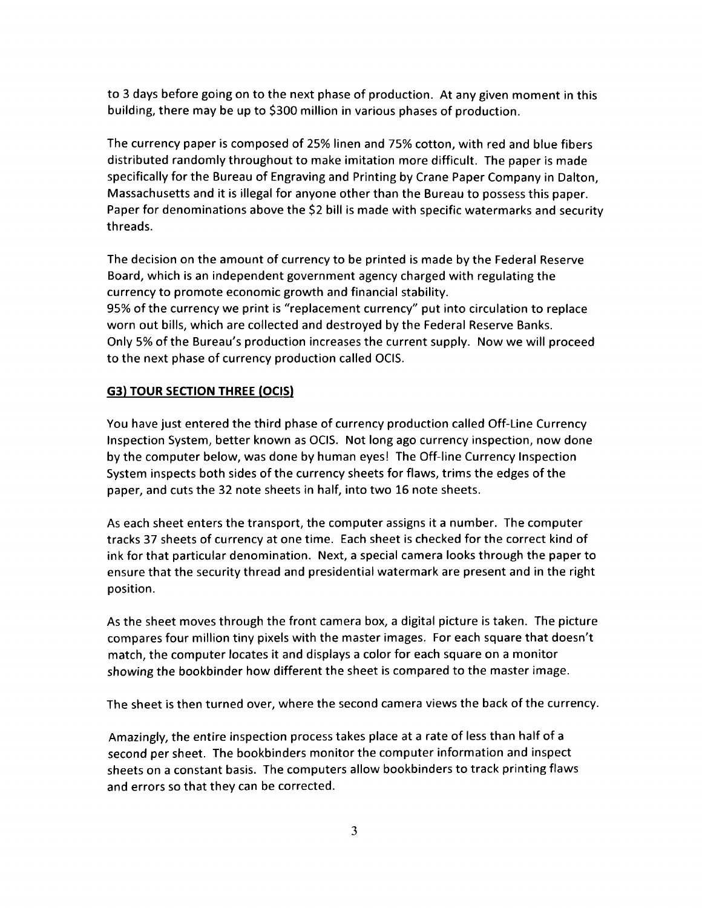to 3 days before going on to the next phase of production. At any given moment in this building, there may be up to \$300 million in various phases of production.

The currency paper is composed of 25% linen and 75% cotton, with red and blue fibers distributed randomly throughout to make imitation more difficult. The paper is made specifically for the Bureau of Engraving and Printing by Crane Paper Company in Dalton, Massachusetts and it is illegal for anyone other than the Bureau to possess this paper. Paper for denominations above the \$2 bill is made with specific watermarks and security threads.

The decision on the amount of currency to be printed is made by the Federal Reserve Board, which is an independent government agency charged with regulating the currency to promote economic growth and financial stability. 95% of the currency we print is "replacement currency" put into circulation to replace worn out bills, which are collected and destroyed by the Federal Reserve Banks. Only 5% of the Bureau's production increases the current supply. Now we will proceed to the next phase of currency production called OCIS.

#### **G3) TOUR SECTION THREE (OCIS)**

You have just entered the third phase of currency production called Off-Line Currency Inspection System, better known as OCIS. Not long ago currency inspection, now done by the computer below, was done by human eyes! The Off-line Currency Inspection System inspects both sides of the currency sheets for flaws, trims the edges of the paper, and cuts the 32 note sheets in half, into two 16 note sheets.

As each sheet enters the transport, the computer assigns it a number. The computer tracks 37 sheets of currency at one time. Each sheet is checked for the correct kind of ink for that particular denomination. Next, a special camera looks through the paper to ensure that the security thread and presidential watermark are present and in the right position.

As the sheet moves through the front camera box, a digital picture is taken. The picture compares four million tiny pixels with the master images. For each square that doesn't match, the computer locates it and displays a color for each square on a monitor showing the bookbinder how different the sheet is compared to the master image.

The sheet is then turned over, where the second camera views the back of the currency.

Amazingly, the entire inspection process takes place at a rate of less than half of a second per sheet. The bookbinders monitor the computer information and inspect sheets on a constant basis. The computers allow bookbinders to track printing flaws and errors so that they can be corrected.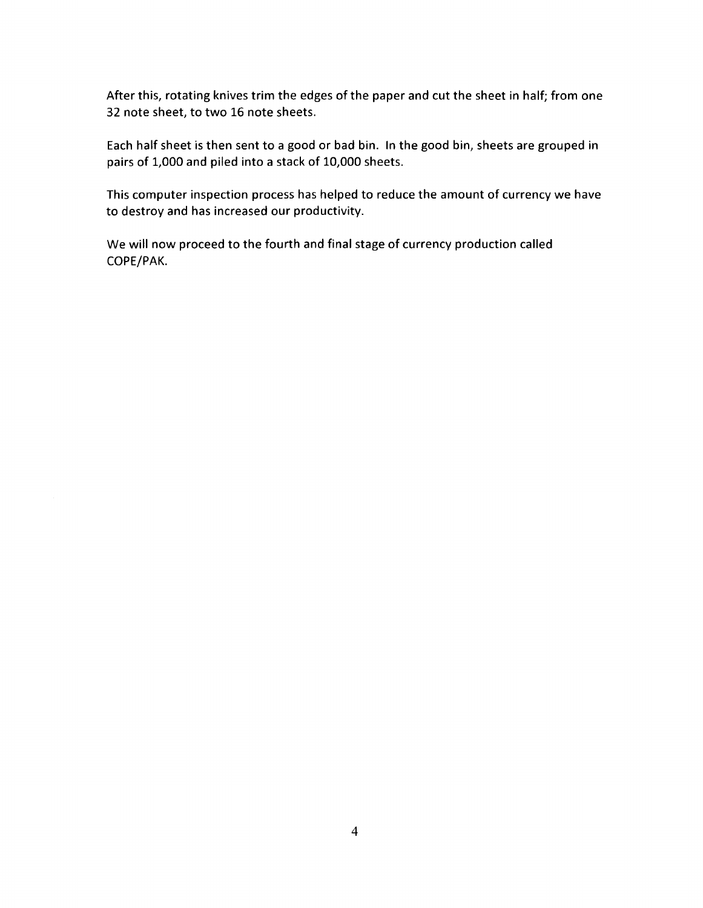After this, rotating knives trim the edges of the paper and cut the sheet in half; from one 32 note sheet, to two 16 note sheets.

Each half sheet is then sent to a good or bad bin. In the good bin, sheets are grouped in pairs of 1,000 and piled into a stack of 10,000 sheets.

This computer inspection process has helped to reduce the amount of currency we have to destroy and has increased our productivity.

We will now proceed to the fourth and final stage of currency production called COPE/PAK.